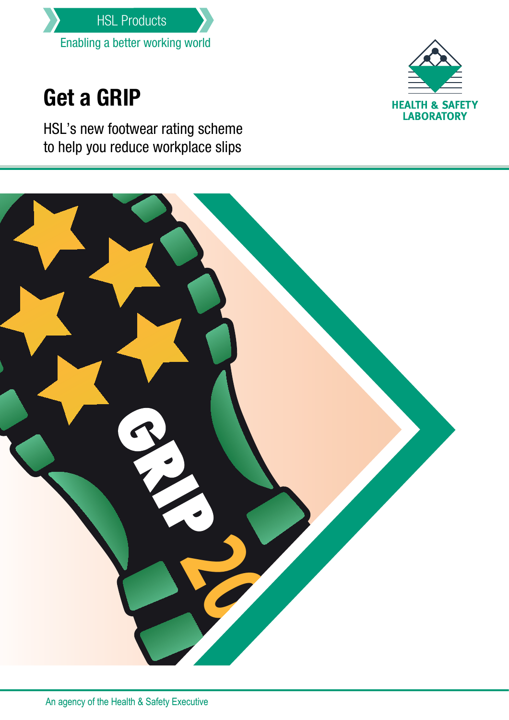

# Get a GRIP

HSL's new footwear rating scheme to help you reduce workplace slips



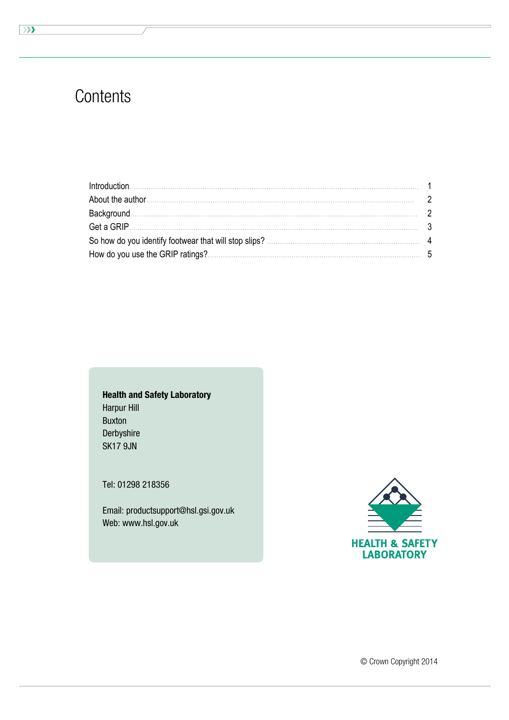### Contents

| Introduction.                                         |           |
|-------------------------------------------------------|-----------|
| About the author.                                     |           |
| Background.                                           | 2         |
| Get a GRIP.                                           |           |
| So how do you identify footwear that will stop slips? | $\Lambda$ |
| How do you use the GRIP ratings?.                     |           |

**Health and Safety Laboratory Harpur Hill Buxton** Derbyshire **SK17 9JN** 

Tel: 01298 218356

Email: productsupport@hsl.gsi.gov.uk Web: www.hsl.gov.uk



 $\overline{\mathcal{Y}}$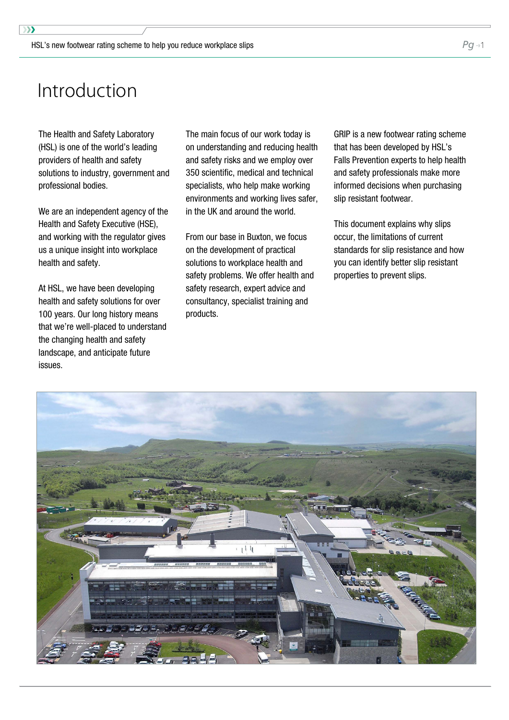### <span id="page-2-0"></span>Introduction

The Health and Safety Laboratory (HSL) is one of the world's leading providers of health and safety solutions to industry, government and professional bodies.

We are an independent agency of the Health and Safety Executive (HSE), and working with the regulator gives us a unique insight into workplace health and safety.

At HSL, we have been developing health and safety solutions for over 100 years. Our long history means that we're well-placed to understand the changing health and safety landscape, and anticipate future issues.

The main focus of our work today is on understanding and reducing health and safety risks and we employ over 350 scientific, medical and technical specialists, who help make working environments and working lives safer, in the UK and around the world.

From our base in Buxton, we focus on the development of practical solutions to workplace health and safety problems. We offer health and safety research, expert advice and consultancy, specialist training and products.

GRIP is a new footwear rating scheme that has been developed by HSL's Falls Prevention experts to help health and safety professionals make more informed decisions when purchasing slip resistant footwear.

This document explains why slips occur, the limitations of current standards for slip resistance and how you can identify better slip resistant properties to prevent slips.

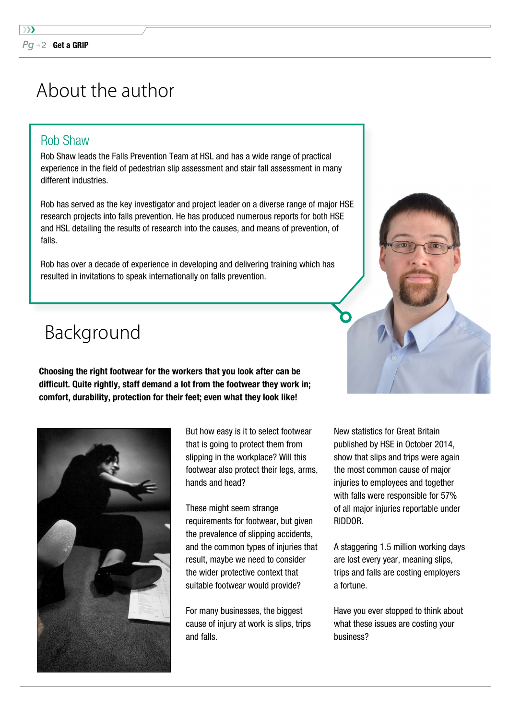## <span id="page-3-0"></span>About the author

### Rob Shaw

Rob Shaw leads the Falls Prevention Team at HSL and has a wide range of practical experience in the field of pedestrian slip assessment and stair fall assessment in many different industries.

Rob has served as the key investigator and project leader on a diverse range of major HSE research projects into falls prevention. He has produced numerous reports for both HSE and HSL detailing the results of research into the causes, and means of prevention, of falls.

Rob has over a decade of experience in developing and delivering training which has resulted in invitations to speak internationally on falls prevention.

## Background

Choosing the right footwear for the workers that you look after can be difficult. Quite rightly, staff demand a lot from the footwear they work in; comfort, durability, protection for their feet; even what they look like!



But how easy is it to select footwear that is going to protect them from slipping in the workplace? Will this footwear also protect their legs, arms, hands and head?

These might seem strange requirements for footwear, but given the prevalence of slipping accidents, and the common types of injuries that result, maybe we need to consider the wider protective context that suitable footwear would provide?

For many businesses, the biggest cause of injury at work is slips, trips and falls.

New statistics for Great Britain published by HSE in October 2014, show that slips and trips were again the most common cause of major injuries to employees and together with falls were responsible for 57% of all major injuries reportable under RIDDOR.

A staggering 1.5 million working days are lost every year, meaning slips, trips and falls are costing employers a fortune.

Have you ever stopped to think about what these issues are costing your business?

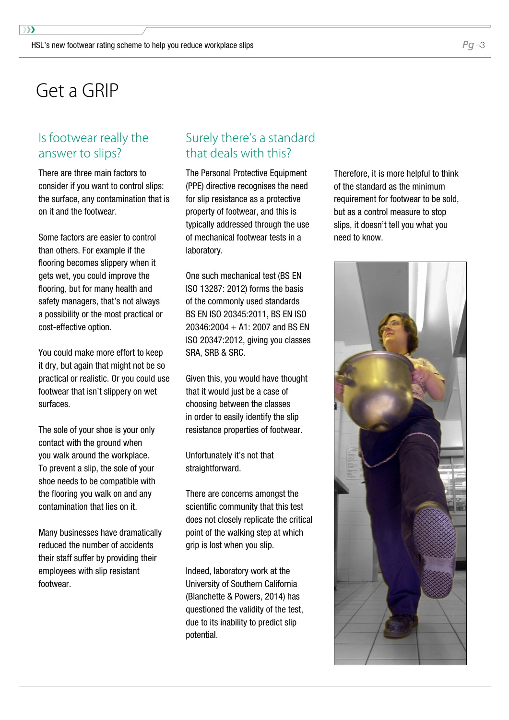### <span id="page-4-0"></span>Get a GRIP

#### Is footwear really the answer to slips?

There are three main factors to consider if you want to control slips: the surface, any contamination that is on it and the footwear.

Some factors are easier to controI than others. For example if the flooring becomes slippery when it gets wet, you could improve the flooring, but for many health and safety managers, that's not always a possibility or the most practical or cost-effective option.

You could make more effort to keep it dry, but again that might not be so practical or realistic. Or you could use footwear that isn't slippery on wet surfaces.

The sole of your shoe is your only contact with the ground when you walk around the workplace. To prevent a slip, the sole of your shoe needs to be compatible with the flooring you walk on and any contamination that lies on it.

Many businesses have dramatically reduced the number of accidents their staff suffer by providing their employees with slip resistant footwear.

#### Surely there's a standard that deals with this?

The Personal Protective Equipment (PPE) directive recognises the need for slip resistance as a protective property of footwear, and this is typically addressed through the use of mechanical footwear tests in a laboratory.

One such mechanical test (BS EN ISO 13287: 2012) forms the basis of the commonly used standards BS EN ISO 20345:2011, BS EN ISO 20346:2004 + A1: 2007 and BS EN ISO 20347:2012, giving you classes SRA, SRB & SRC.

Given this, you would have thought that it would just be a case of choosing between the classes in order to easily identify the slip resistance properties of footwear.

Unfortunately it's not that straightforward.

There are concerns amongst the scientific community that this test does not closely replicate the critical point of the walking step at which grip is lost when you slip.

Indeed, laboratory work at the University of Southern California (Blanchette & Powers, 2014) has questioned the validity of the test, due to its inability to predict slip potential.

Therefore, it is more helpful to think of the standard as the minimum requirement for footwear to be sold, but as a control measure to stop slips, it doesn't tell you what you need to know.

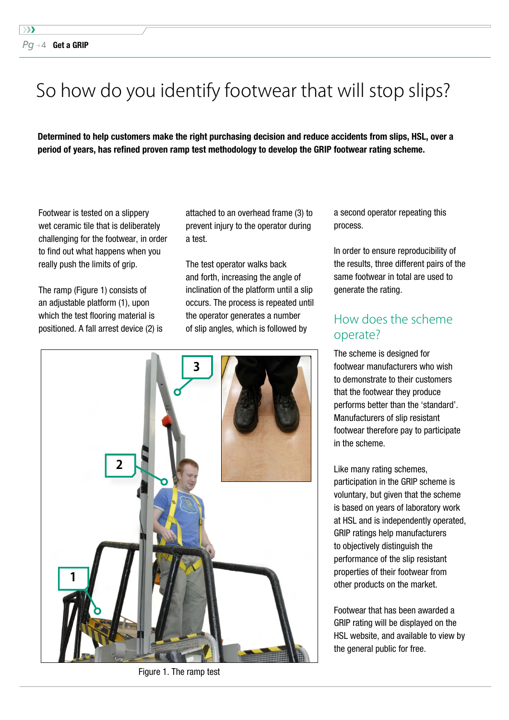## <span id="page-5-0"></span>So how do you identify footwear that will stop slips?

Determined to help customers make the right purchasing decision and reduce accidents from slips, HSL, over a period of years, has refined proven ramp test methodology to develop the GRIP footwear rating scheme.

Footwear is tested on a slippery wet ceramic tile that is deliberately challenging for the footwear, in order to find out what happens when you really push the limits of grip.

The ramp (Figure 1) consists of an adjustable platform (1), upon which the test flooring material is positioned. A fall arrest device (2) is attached to an overhead frame (3) to prevent injury to the operator during a test.

The test operator walks back and forth, increasing the angle of inclination of the platform until a slip occurs. The process is repeated until the operator generates a number of slip angles, which is followed by



Figure 1. The ramp test

a second operator repeating this process.

In order to ensure reproducibility of the results, three different pairs of the same footwear in total are used to generate the rating.

#### How does the scheme operate?

The scheme is designed for footwear manufacturers who wish to demonstrate to their customers that the footwear they produce performs better than the 'standard'. Manufacturers of slip resistant footwear therefore pay to participate in the scheme.

Like many rating schemes, participation in the GRIP scheme is voluntary, but given that the scheme is based on years of laboratory work at HSL and is independently operated, GRIP ratings help manufacturers to objectively distinguish the performance of the slip resistant properties of their footwear from other products on the market.

Footwear that has been awarded a GRIP rating will be displayed on the HSL website, and available to view by the general public for free.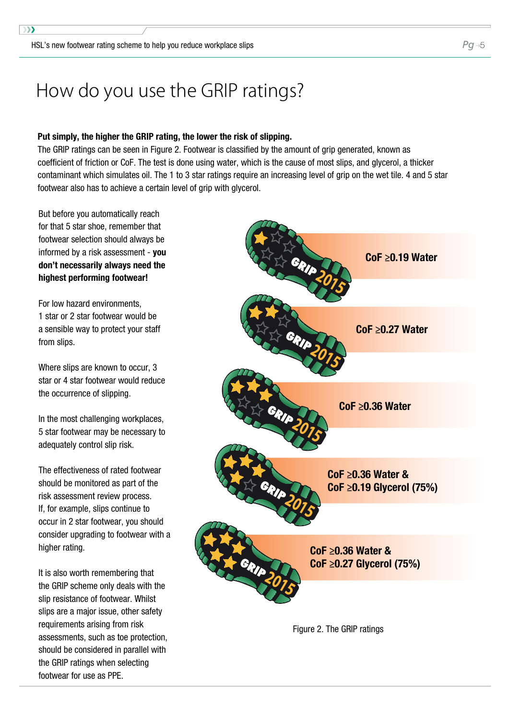### <span id="page-6-0"></span>How do you use the GRIP ratings?

#### Put simply, the higher the GRIP rating, the lower the risk of slipping.

The GRIP ratings can be seen in Figure 2. Footwear is classified by the amount of grip generated, known as coefficient of friction or CoF. The test is done using water, which is the cause of most slips, and glycerol, a thicker contaminant which simulates oil. The 1 to 3 star ratings require an increasing level of grip on the wet tile. 4 and 5 star footwear also has to achieve a certain level of grip with glycerol.

But before you automatically reach for that 5 star shoe, remember that footwear selection should always be informed by a risk assessment - you don't necessarily always need the highest performing footwear!

For low hazard environments, 1 star or 2 star footwear would be a sensible way to protect your staff from slips.

Where slips are known to occur, 3 star or 4 star footwear would reduce the occurrence of slipping.

In the most challenging workplaces, 5 star footwear may be necessary to adequately control slip risk.

The effectiveness of rated footwear should be monitored as part of the risk assessment review process. If, for example, slips continue to occur in 2 star footwear, you should consider upgrading to footwear with a higher rating.

It is also worth remembering that the GRIP scheme only deals with the slip resistance of footwear. Whilst slips are a major issue, other safety requirements arising from risk assessments, such as toe protection, should be considered in parallel with the GRIP ratings when selecting footwear for use as PPE.



Figure 2. The GRIP ratings